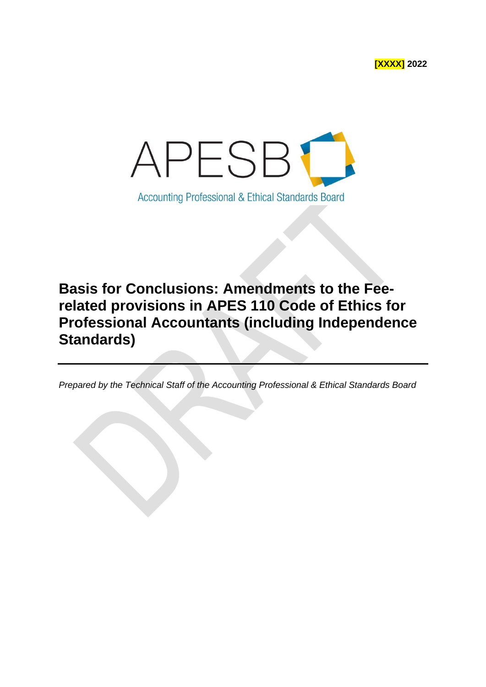

**Basis for Conclusions: Amendments to the Feerelated provisions in APES 110 Code of Ethics for Professional Accountants (including Independence Standards)**

*Prepared by the Technical Staff of the Accounting Professional & Ethical Standards Board*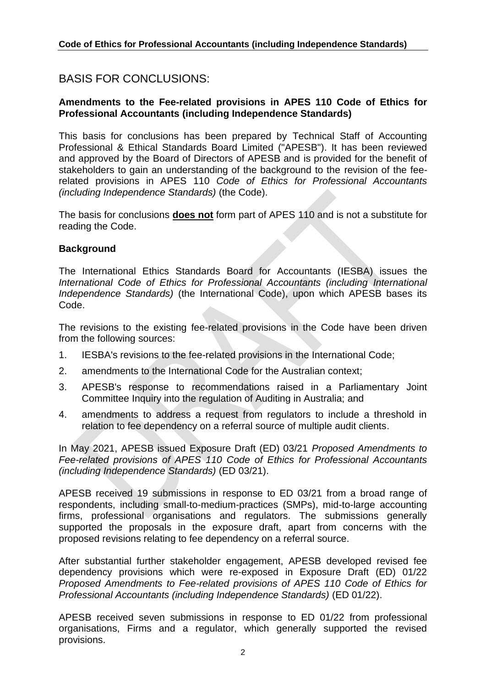# BASIS FOR CONCLUSIONS:

## **Amendments to the Fee-related provisions in APES 110 Code of Ethics for Professional Accountants (including Independence Standards)**

This basis for conclusions has been prepared by Technical Staff of Accounting Professional & Ethical Standards Board Limited ("APESB"). It has been reviewed and approved by the Board of Directors of APESB and is provided for the benefit of stakeholders to gain an understanding of the background to the revision of the feerelated provisions in APES 110 *Code of Ethics for Professional Accountants (including Independence Standards)* (the Code).

The basis for conclusions **does not** form part of APES 110 and is not a substitute for reading the Code.

#### **Background**

The International Ethics Standards Board for Accountants (IESBA) issues the *International Code of Ethics for Professional Accountants (including International Independence Standards)* (the International Code), upon which APESB bases its Code.

The revisions to the existing fee-related provisions in the Code have been driven from the following sources:

- 1. IESBA's revisions to the fee-related provisions in the International Code;
- 2. amendments to the International Code for the Australian context;
- 3. APESB's response to recommendations raised in a Parliamentary Joint Committee Inquiry into the regulation of Auditing in Australia; and
- 4. amendments to address a request from regulators to include a threshold in relation to fee dependency on a referral source of multiple audit clients.

In May 2021, APESB issued Exposure Draft (ED) 03/21 *Proposed Amendments to Fee-related provisions of APES 110 Code of Ethics for Professional Accountants (including Independence Standards)* (ED 03/21).

APESB received 19 submissions in response to ED 03/21 from a broad range of respondents, including small-to-medium-practices (SMPs), mid-to-large accounting firms, professional organisations and regulators. The submissions generally supported the proposals in the exposure draft, apart from concerns with the proposed revisions relating to fee dependency on a referral source.

After substantial further stakeholder engagement, APESB developed revised fee dependency provisions which were re-exposed in Exposure Draft (ED) 01/22 *Proposed Amendments to Fee-related provisions of APES 110 Code of Ethics for Professional Accountants (including Independence Standards)* (ED 01/22).

APESB received seven submissions in response to ED 01/22 from professional organisations, Firms and a regulator, which generally supported the revised provisions.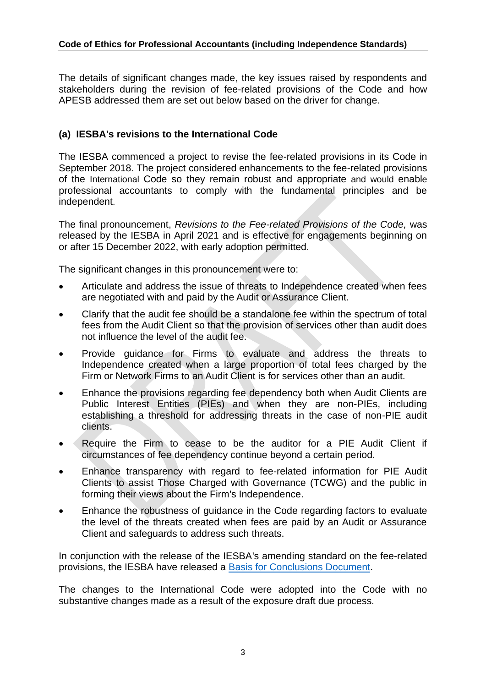The details of significant changes made, the key issues raised by respondents and stakeholders during the revision of fee-related provisions of the Code and how APESB addressed them are set out below based on the driver for change.

# **(a) IESBA's revisions to the International Code**

The IESBA commenced a project to revise the fee-related provisions in its Code in September 2018. The project considered enhancements to the fee-related provisions of the International Code so they remain robust and appropriate and would enable professional accountants to comply with the fundamental principles and be independent.

The final pronouncement, *Revisions to the Fee-related Provisions of the Code,* was released by the IESBA in April 2021 and is effective for engagements beginning on or after 15 December 2022, with early adoption permitted.

The significant changes in this pronouncement were to:

- Articulate and address the issue of threats to Independence created when fees are negotiated with and paid by the Audit or Assurance Client.
- Clarify that the audit fee should be a standalone fee within the spectrum of total fees from the Audit Client so that the provision of services other than audit does not influence the level of the audit fee.
- Provide guidance for Firms to evaluate and address the threats to Independence created when a large proportion of total fees charged by the Firm or Network Firms to an Audit Client is for services other than an audit.
- Enhance the provisions regarding fee dependency both when Audit Clients are Public Interest Entities (PIEs) and when they are non-PIEs, including establishing a threshold for addressing threats in the case of non-PIE audit clients.
- Require the Firm to cease to be the auditor for a PIE Audit Client if circumstances of fee dependency continue beyond a certain period.
- Enhance transparency with regard to fee-related information for PIE Audit Clients to assist Those Charged with Governance (TCWG) and the public in forming their views about the Firm's Independence.
- Enhance the robustness of guidance in the Code regarding factors to evaluate the level of the threats created when fees are paid by an Audit or Assurance Client and safeguards to address such threats.

In conjunction with the release of the IESBA's amending standard on the fee-related provisions, the IESBA have released a Basis [for Conclusions Document.](https://www.ifac.org/system/files/publications/files/Basis-for-Conclusions-Fees.pdf)

The changes to the International Code were adopted into the Code with no substantive changes made as a result of the exposure draft due process.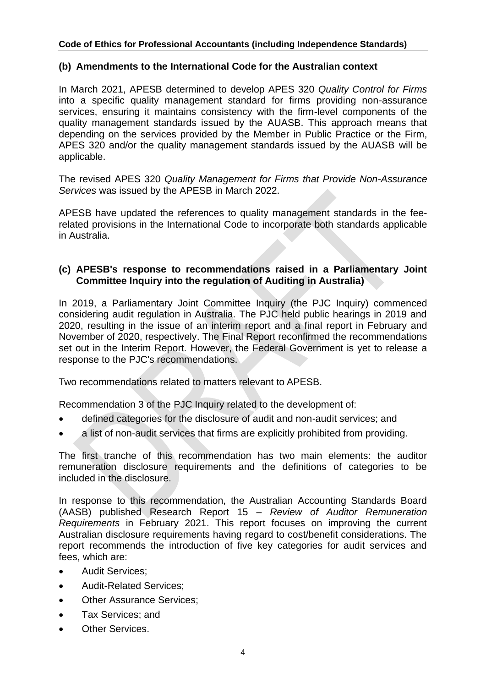#### **(b) Amendments to the International Code for the Australian context**

In March 2021, APESB determined to develop APES 320 *Quality Control for Firms* into a specific quality management standard for firms providing non-assurance services, ensuring it maintains consistency with the firm-level components of the quality management standards issued by the AUASB. This approach means that depending on the services provided by the Member in Public Practice or the Firm, APES 320 and/or the quality management standards issued by the AUASB will be applicable.

The revised APES 320 *Quality Management for Firms that Provide Non-Assurance Services* was issued by the APESB in March 2022.

APESB have updated the references to quality management standards in the feerelated provisions in the International Code to incorporate both standards applicable in Australia.

#### **(c) APESB's response to recommendations raised in a Parliamentary Joint Committee Inquiry into the regulation of Auditing in Australia)**

In 2019, a Parliamentary Joint Committee Inquiry (the PJC Inquiry) commenced considering audit regulation in Australia. The PJC held public hearings in 2019 and 2020, resulting in the issue of an interim report and a final report in February and November of 2020, respectively. The Final Report reconfirmed the recommendations set out in the Interim Report. However, the Federal Government is yet to release a response to the PJC's recommendations.

Two recommendations related to matters relevant to APESB.

Recommendation 3 of the PJC Inquiry related to the development of:

- defined categories for the disclosure of audit and non-audit services; and
- a list of non-audit services that firms are explicitly prohibited from providing.

The first tranche of this recommendation has two main elements: the auditor remuneration disclosure requirements and the definitions of categories to be included in the disclosure.

In response to this recommendation, the Australian Accounting Standards Board (AASB) published Research Report 15 *– Review of Auditor Remuneration Requirements* in February 2021. This report focuses on improving the current Australian disclosure requirements having regard to cost/benefit considerations. The report recommends the introduction of five key categories for audit services and fees, which are:

- Audit Services;
- Audit-Related Services;
- Other Assurance Services;
- Tax Services; and
- Other Services.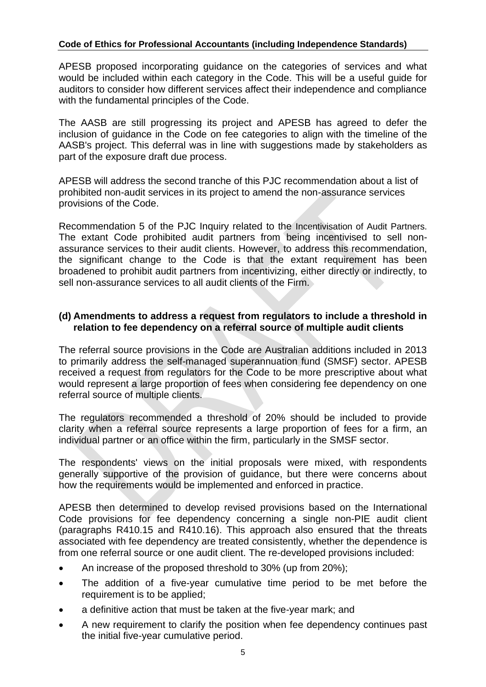APESB proposed incorporating guidance on the categories of services and what would be included within each category in the Code. This will be a useful guide for auditors to consider how different services affect their independence and compliance with the fundamental principles of the Code.

The AASB are still progressing its project and APESB has agreed to defer the inclusion of guidance in the Code on fee categories to align with the timeline of the AASB's project. This deferral was in line with suggestions made by stakeholders as part of the exposure draft due process.

APESB will address the second tranche of this PJC recommendation about a list of prohibited non-audit services in its project to amend the non-assurance services provisions of the Code.

Recommendation 5 of the PJC Inquiry related to the Incentivisation of Audit Partners. The extant Code prohibited audit partners from being incentivised to sell nonassurance services to their audit clients. However, to address this recommendation, the significant change to the Code is that the extant requirement has been broadened to prohibit audit partners from incentivizing, either directly or indirectly, to sell non-assurance services to all audit clients of the Firm.

## **(d) Amendments to address a request from regulators to include a threshold in relation to fee dependency on a referral source of multiple audit clients**

The referral source provisions in the Code are Australian additions included in 2013 to primarily address the self-managed superannuation fund (SMSF) sector. APESB received a request from regulators for the Code to be more prescriptive about what would represent a large proportion of fees when considering fee dependency on one referral source of multiple clients.

The regulators recommended a threshold of 20% should be included to provide clarity when a referral source represents a large proportion of fees for a firm, an individual partner or an office within the firm, particularly in the SMSF sector.

The respondents' views on the initial proposals were mixed, with respondents generally supportive of the provision of guidance, but there were concerns about how the requirements would be implemented and enforced in practice.

APESB then determined to develop revised provisions based on the International Code provisions for fee dependency concerning a single non-PIE audit client (paragraphs R410.15 and R410.16). This approach also ensured that the threats associated with fee dependency are treated consistently, whether the dependence is from one referral source or one audit client. The re-developed provisions included:

- An increase of the proposed threshold to 30% (up from 20%);
- The addition of a five-year cumulative time period to be met before the requirement is to be applied;
- a definitive action that must be taken at the five-year mark; and
- A new requirement to clarify the position when fee dependency continues past the initial five-year cumulative period.